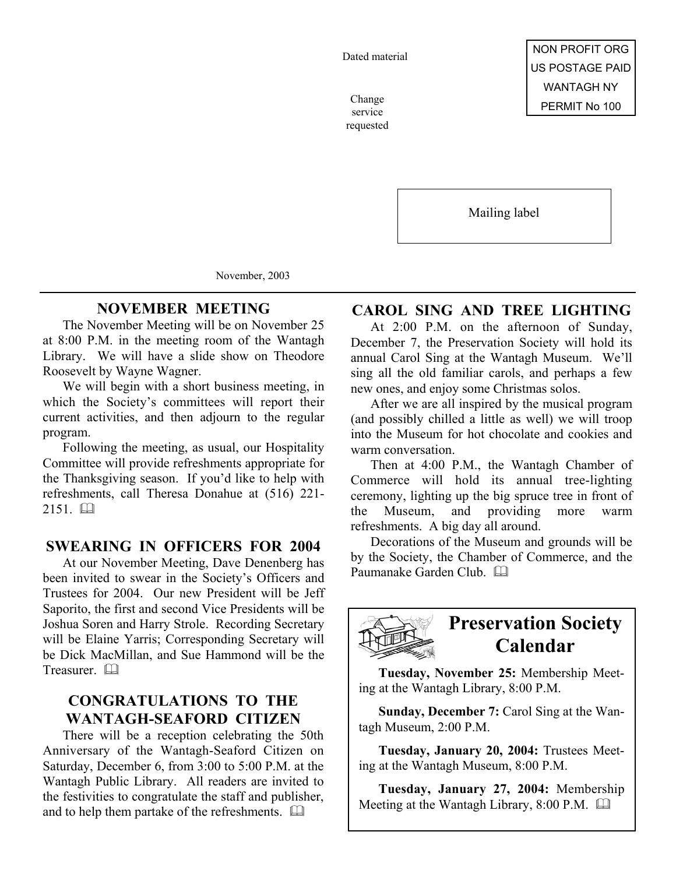Dated material

service requested

Mailing label

November, 2003

## **NOVEMBER MEETING**

The November Meeting will be on November 25 at 8:00 P.M. in the meeting room of the Wantagh Library. We will have a slide show on Theodore Roosevelt by Wayne Wagner.

We will begin with a short business meeting, in which the Society's committees will report their current activities, and then adjourn to the regular program.

Following the meeting, as usual, our Hospitality Committee will provide refreshments appropriate for the Thanksgiving season. If you'd like to help with refreshments, call Theresa Donahue at (516) 221-  $2151.$ 

### **SWEARING IN OFFICERS FOR 2004**

At our November Meeting, Dave Denenberg has been invited to swear in the Society's Officers and Trustees for 2004. Our new President will be Jeff Saporito, the first and second Vice Presidents will be Joshua Soren and Harry Strole. Recording Secretary will be Elaine Yarris; Corresponding Secretary will be Dick MacMillan, and Sue Hammond will be the Treasurer. a

## **CONGRATULATIONS TO THE WANTAGH-SEAFORD CITIZEN**

There will be a reception celebrating the 50th Anniversary of the Wantagh-Seaford Citizen on Saturday, December 6, from 3:00 to 5:00 P.M. at the Wantagh Public Library. All readers are invited to the festivities to congratulate the staff and publisher, and to help them partake of the refreshments.  $\square$ 

### **CAROL SING AND TREE LIGHTING**

At 2:00 P.M. on the afternoon of Sunday, December 7, the Preservation Society will hold its annual Carol Sing at the Wantagh Museum. We'll sing all the old familiar carols, and perhaps a few new ones, and enjoy some Christmas solos.

After we are all inspired by the musical program (and possibly chilled a little as well) we will troop into the Museum for hot chocolate and cookies and warm conversation.

Then at 4:00 P.M., the Wantagh Chamber of Commerce will hold its annual tree-lighting ceremony, lighting up the big spruce tree in front of the Museum, and providing more warm refreshments. A big day all around.

Decorations of the Museum and grounds will be by the Society, the Chamber of Commerce, and the Paumanake Garden Club. El



## **Preservation Society Calendar**

**Tuesday, November 25:** Membership Meeting at the Wantagh Library, 8:00 P.M.

**Sunday, December 7:** Carol Sing at the Wantagh Museum, 2:00 P.M.

**Tuesday, January 20, 2004:** Trustees Meeting at the Wantagh Museum, 8:00 P.M.

**Tuesday, January 27, 2004:** Membership Meeting at the Wantagh Library, 8:00 P.M.